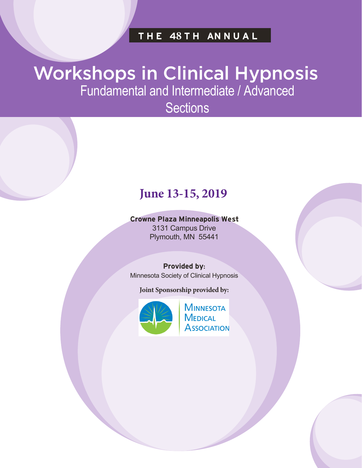# **THE 48 T H AN N U A L**

# Workshops in Clinical Hypnosis Fundamental and Intermediate / Advanced

**Sections** 

# **June 13-15, 2019**

# **Crowne Plaza Minneapolis West** 3131 Campus Drive

Plymouth, MN 55441

## **Provided by:**

Minnesota Society of Clinical Hypnosis

**Joint Sponsorship provided by:**



**MINNESOTA MEDICAL ASSOCIATION**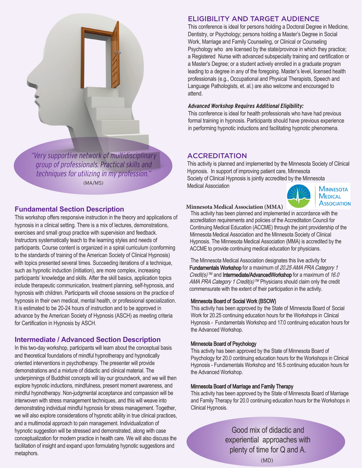

"Very supportive network of multidisciplinary group of professionals. Practical skills and techniques for utilizing in my profession." (MA/MS)

# **Fundamental Section Description**

This workshop offers responsive instruction in the theory and applications of hypnosis in a clinical setting. There is a mix of lectures, demonstrations, exercises and small group practice with supervision and feedback. Instructors systematically teach to the learning styles and needs of participants. Course content is organized in a spiral curriculum (conforming to the standards of training of the American Society of Clinical Hypnosis) with topics presented several times. Succeeding iterations of a technique, such as hypnotic induction (initiation), are more complex, increasing participants' knowledge and skills. After the skill basics, application topics include therapeutic communication, treatment planning, self-hypnosis, and hypnosis with children. Participants will choose sessions on the practice of hypnosis in their own medical, mental health, or professional specialization. It is estimated to be 20-24 hours of instruction and to be approved in advance by the American Society of Hypnosis (ASCH) as meeting criteria for Certification in Hypnosis by ASCH.

# **Intermediate / Advanced Section Description**

In this two-day workshop, participants will learn about the conceptual basis and theoretical foundations of mindful hypnotherapy and hypnotically oriented interventions in psychotherapy. The presenter will provide demonstrations and a mixture of didactic and clinical material. The underpinnings of Buddhist concepts will lay our groundwork, and we will then explore hypnotic inductions, mindfulness, present moment awareness, and mindful hypnotherapy. Non-judgmental acceptance and compassion will be interwoven with stress management techniques, and this will weave into demonstrating individual mindful hypnosis for stress management. Together, we will also explore considerations of hypnotic ability in true clinical practices, and a multimodal approach to pain management. Individualization of hypnotic suggestion will be stressed and demonstrated, along with case conceptualization for modern practice in health care. We will also discuss the facilitation of insight and expand upon formulating hypnotic suggestions and metaphors.

# ELIGIBILITY AND TARGET AUDIENCE

This conference is ideal for persons holding a Doctoral Degree in Medicine, Dentistry, or Psychology; persons holding a Master's Degree in Social Work, Marriage and Family Counseling, or Clinical or Counseling Psychology who are licensed by the state/province in which they practice; a Registered Nurse with advanced subspecialty training and certification or a Master's Degree; or a student actively enrolled in a graduate program leading to a degree in any of the foregoing. Master's level, licensed health professionals (e.g., Occupational and Physical Therapists, Speech and Language Pathologists, et. al.) are also welcome and encouraged to attend.

# **Advanced Workshop Requires Additional Eligibility:**

This conference is ideal for health professionals who have had previous formal training in hypnosis. Participants should have previous experience in performing hypnotic inductions and facilitating hypnotic phenomena.

# **ACCREDITATION**

This activity is planned and implemented by the Minnesota Society of Clinical Hypnosis. In support of improving patient care, Minnesota Society of Clinical Hypnosis is jointly accredited by the Minnesota Medical Association **MINNESOTA** 



# **MEDICAL ASSOCIATION**

#### **Minnesota Medical Association (MMA)**

This activity has been planned and implemented in accordance with the accreditation requirements and policies of the Accreditation Council for Continuing Medical Education (ACCME) through the joint providership of the Minnesota Medical Association and the Minnesota Society of Clinical Hypnosis. The Minnesota Medical Association (MMA) is accredited by the ACCME to provide continuing medical education for physicians.

The Minnesota Medical Association designates this live activity for Fundamentals Workshop for a maximum of 20.25 AMA PRA Category 1 *Credit(s)*™ and **Intermediate/AdvancedWorkshop** for a maximum of 16.0 AMA PRA Category 1 Credit(s)<sup>™</sup> Physicians should claim only the credit commensurate with the extent of their participation in the activity.

## Minnesota Board of Social Work (BSOW)

This activity has been approved by the State of Minnesota Board of Social Work for 20.25 continuing education hours for the Workshops in Clinical Hypnosis - Fundamentals Workshop and 17.0 continuing education hours for the Advanced Workshop.

## Minnesota Board of Psychology

This activity has been approved by the State of Minnesota Board of Psychology for 20.0 continuing education hours for the Workshops in Clinical Hypnosis - Fundamentals Workshop and 16.5 continuing education hours for the Advanced Workshop.

#### Minnesota Board of Marriage and Family Therapy

This activity has been approved by the State of Minnesota Board of Marriage and Family Therapy for 20.0 continuing education hours for the Workshops in Clinical Hypnosis.

> Good mix of didactic and experiential approaches with plenty of time for Q and A.

> > (MD)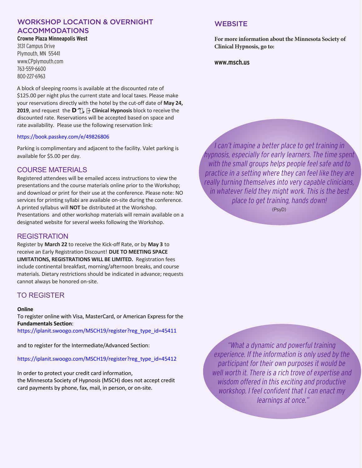#### WORKSHOP LOCATION & OVERNIGHT ACCOMMODATIONS **Crowne Plaza Minneapolis West**

3131 Campus Drive Plymouth, MN 55441 www.CPplymouth.com 763-559-6600 800-227-6963

A block of sleeping rooms is available at the discounted rate of \$125.00 per night plus the current state and local taxes. Please make your reservations directly with the hotel by the cut-off date of **May 24, 2019**, and request the U o#= – Clinical Hypnosis block to receive the discounted rate. Reservations will be accepted based on space and rate availability. Please use the following reservation link:

#### https://book.passkey.com/e/49826806

Parking is complimentary and adjacent to the facility. Valet parking is available for \$5.00 per day.

## COURSE MATERIALS

Registered attendees will be emailed access instructions to view the presentations and the course materials online prior to the Workshop; and download or print for their use at the conference. Please note: NO services for printing syllabi are available on-site during the conference. A printed syllabus will **NOT** be distributed at the Workshop. Presentations and other workshop materials will remain available on a designated website for several weeks following the Workshop.

#### REGISTRATION

Register by **March 22** to receive the Kick-off Rate, or by **May 3** to receive an Early Registration Discount! **DUE TO MEETING SPACE LIMITATIONS, REGISTRATIONS WILL BE LIMITED.** Registration fees include continental breakfast, morning/afternoon breaks, and course materials. Dietary restrictions should be indicated in advance; requests cannot always be honored on-site.

# TO REGISTER

#### **Online**

To register online with Visa, MasterCard, or American Express for the **Fundamentals Section**:

https://iplanit.swoogo.com/MSCH19/register?reg\_type\_id=45411

and to register for the Intermediate/Advanced Section:

#### https://iplanit.swoogo.com/MSCH19/register?reg\_type\_id=45412

In order to protect your credit card information, the Minnesota Society of Hypnosis (MSCH) does not accept credit card payments by phone, fax, mail, in person, or on-site.

## **WEBSITE**

**For more information about the Minnesota Society of Clinical Hypnosis, go to:**

**www.msch.us**

I can't imagine a better place to get training in hypnosis, especially for early learners. The time spent with the small groups helps people feel safe and to practice in a setting where they can feel like they are really turning themselves into very capable clinicians, in whatever field they might work. This is the best place to get training, hands down!

(PsyD)

"What a dynamic and powerful training experience. If the information is only used by the participant for their own purposes it would be well worth it. There is a rich trove of expertise and wisdom offered in this exciting and productive workshop. I feel confident that I can enact my learnings at once."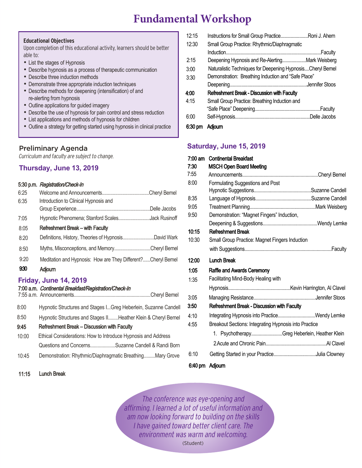# **Fundamental Workshop**

#### **Educational Objectives**

Upon completion of this educational activity, learners should be better able to:

- List the stages of Hypnosis
- Describe hypnosis as a process of therapeutic communication
- Describe three induction methods
- Demonstrate three appropriate induction techniques
- Describe methods for deepening (intensification) of and re-alerting from hypnosis
- Outline applications for guided imagery
- Describe the use of hypnosis for pain control and stress reduction
- List applications and methods of hypnosis for children
- Outline a strategy for getting started using hypnosis in clinical practice

## Preliminary Agenda

Curriculum and faculty are subject to change.

# **Thursday, June 13, 2019**

#### 5:30 p.m. Registration/Check-In

| 6:25 |                                                              |  |
|------|--------------------------------------------------------------|--|
| 6:35 | Introduction to Clinical Hypnosis and                        |  |
|      |                                                              |  |
| 7:05 | Hypnotic Phenomena; Stanford ScalesJack Rusinoff             |  |
| 8:05 | <b>Refreshment Break - with Faculty</b>                      |  |
| 8:20 | Definitions, History, Theories of HypnosisDavid Wark         |  |
| 8:50 | Myths, Misconceptions, and MemoryCheryl Bemel                |  |
| 9:20 | Meditation and Hypnosis: How are They Different?Cheryl Bemel |  |
| 930  | <b>Adjourn</b>                                               |  |
|      | Felder: 1 44 0040                                            |  |

## **Friday, June 14, 2019**

11:15 Lunch Break

#### 7:00 a.m. Continental Breakfast/Registration/Check-In

| 8:00  | Hypnotic Structures and Stages IGreg Heberlein, Suzanne Candell |
|-------|-----------------------------------------------------------------|
| 8:50  | Hypnotic Structures and Stages IIHeather Klein & Cheryl Bemel   |
| 9:45  | <b>Refreshment Break - Discussion with Faculty</b>              |
| 10:00 | Ethical Considerations: How to Introduce Hypnosis and Address   |
|       | Questions and ConcernsSuzanne Candell & Randi Born              |
| 10:45 | Demonstration: Rhythmic/Diaphragmatic BreathingMary Grove       |
|       |                                                                 |

# 12:15 Instructions for Small Group Practice.......................Roni J. Ahern 12:30 Small Group Practice: Rhythmic/Diaphragmatic Induction................................................................................Faculty 2:15 Deepening Hypnosis and Re-Alerting....................Mark Weisberg 3:00 Naturalistic Techniques for Deepening Hypnosis....Cheryl Bemel 3:30 Demonstration: Breathing Induction and "Safe Place" Deepening.................................................................Jennifer Stoos 4:00 Refreshment Break - Discussion with Faculty 4:15 Small Group Practice: Breathing Induction and "Safe Place" Deepening.......................................................Faculty 6:00 Self-Hypnosis...............................................................Delle Jacobs

#### 6:30 pm Adjourn

## **Saturday, June 15, 2019**

| $7:00 \text{ am}$ | <b>Continental Breakfast</b>                          |
|-------------------|-------------------------------------------------------|
| 7:30              | <b>MSCH Open Board Meeting</b>                        |
| 7:55              |                                                       |
| 8:00              | Formulating Suggestions and Post                      |
|                   |                                                       |
| 8:35              |                                                       |
| 9:05              |                                                       |
| 9:50              | Demonstration: "Magnet Fingers" Induction,            |
|                   |                                                       |
| 10:15             | <b>Refreshment Break</b>                              |
| 10:30             | Small Group Practice: Magnet Fingers Induction        |
|                   |                                                       |
| 12:00             | <b>Lunch Break</b>                                    |
| 1:05              | <b>Raffle and Awards Ceremony</b>                     |
| 1:35              | Facilitating Mind-Body Healing with                   |
|                   |                                                       |
| 3:05              |                                                       |
| 3:50              | <b>Refreshment Break - Discussion with Faculty</b>    |
| 4:10              | Integrating Hypnosis into PracticeWendy Lemke         |
| 4:55              | Breakout Sections: Integrating Hypnosis into Practice |
|                   | 1. PsychotherapyGreg Heberlein, Heather Klein         |
|                   |                                                       |
| 6:10              |                                                       |
|                   |                                                       |

## 6:40 pm Adjourn

The conference was eye-opening and affirming. I learned a lot of useful information and am now looking forward to building on the skills I have gained toward better client care. The environment was warm and welcoming. (Student)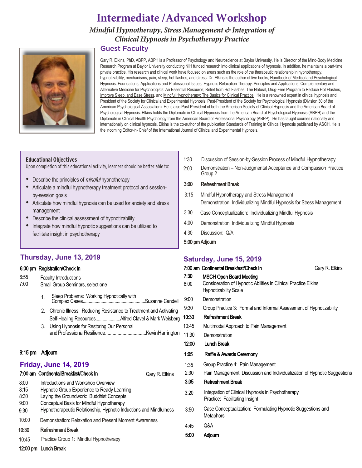# **Intermediate /Advanced Workshop**

*Mindful Hypnotherapy, Stress Management & Integration of Clinical Hypnosis in Psychotherapy Practice*

# Guest Faculty

Gary R. Elkins, PhD, ABPP, ABPH is a Professor of Psychology and Neuroscience at Baylor University. He is Director of the Mind-Body Medicine Research Program at Baylor University conducting NIH funded research into clinical applications of hypnosis. In addition, he maintains a part-time private practice. His research and clinical work have focused on areas such as the role of the therapeutic relationship in hypnotherapy, hypnotizability, mechanisms, pain, sleep, hot flashes, and stress. Dr. Elkins is the author of five books, Handbook of Medical and Psychological Hypnosis: Foundations, Applications and Professional Issues; Hypnotic Relaxation Therapy: Principles and Applications; Complementary and Alternative Medicine for Psychologists: An Essential Resource; Relief from Hot Flashes: The Natural, Drug-Free Program to Reduce Hot Flashes, Improve Sleep, and Ease Stress, and Mindful Hypnotherapy: The Basics for Clinical Practice. He is a renowned expert in clinical hypnosis and President of the Society for Clinical and Experimental Hypnosis; Past-President of the Society for Psychological Hypnosis (Division 30 of the American Psychological Association). He is also Past-President of both the American Society of Clinical Hypnosis and the American Board of Psychological Hypnosis. Elkins holds the Diplomate in Clinical Hypnosis from the American Board of Psychological Hypnosis (ABPH) and the Diplomate in Clinical Health Psychology from the American Board of Professional Psychology (ABPP). He has taught courses nationally and internationally on clinical hypnosis. Elkins is the co-author of the publication Standards of Training in Clinical Hypnosis published by ASCH. He is the incoming Editor-in- Chief of the International Journal of Clinical and Experimental Hypnosis.

#### **Educational Objectives**

Upon completion of this educational activity, learners should be better able to:

- Describe the principles of *mindful* hypnotherapy
- Articulate a mindful hypnotherapy treatment protocol and sessionby-session goals
- Articulate how mindful hypnosis can be used for anxiety and stress management
- Describe the clinical assessment of hypnotizability
- Integrate how mindful hypnotic suggestions can be utilized to facilitate insight in psychotherapy

# **Thursday, June 13, 2019**

#### 6:00 pm Registration/Check In

| 6:55<br>7:00                         | <b>Faculty Introductions</b><br>Small Group Seminars, select one                                                                                                                                                                                  |  |  |  |
|--------------------------------------|---------------------------------------------------------------------------------------------------------------------------------------------------------------------------------------------------------------------------------------------------|--|--|--|
|                                      | Sleep Problems: Working Hypnotically with<br>1.                                                                                                                                                                                                   |  |  |  |
|                                      | 2.<br>Chronic Illness: Reducing Resistance to Treatment and Activating<br>Self-Healing ResourcesAlfred Clavel & Mark Weisberg                                                                                                                     |  |  |  |
|                                      | Using Hypnosis for Restoring Our Personal<br>3.                                                                                                                                                                                                   |  |  |  |
| $9:15 \text{ pm}$                    | Adjourn                                                                                                                                                                                                                                           |  |  |  |
| <b>Friday, June 14, 2019</b>         |                                                                                                                                                                                                                                                   |  |  |  |
|                                      | 7:00 am Continental Breakfast/Check In<br>Gary R. Elkins                                                                                                                                                                                          |  |  |  |
| 8:00<br>8:15<br>8:30<br>9:00<br>9:30 | Introductions and Workshop Overview<br>Hypnotic Group Experience to Ready Learning<br>Laying the Groundwork: Buddhist Concepts<br>Conceptual Basis for Mindful Hypnotherapy<br>Hypnotherapeutic Relationship, Hypnotic Inductions and Mindfulness |  |  |  |
| 10:00                                | Demonstration: Relaxation and Present Moment Awareness                                                                                                                                                                                            |  |  |  |
| 10:30                                | <b>Refreshment Break</b>                                                                                                                                                                                                                          |  |  |  |
| 10:45                                | Practice Group 1: Mindful Hypnotherapy                                                                                                                                                                                                            |  |  |  |
|                                      |                                                                                                                                                                                                                                                   |  |  |  |

- 1:30 Discussion of Session-by-Session Process of Mindful Hypnotherapy
- Demonstration Non-Judgmental Acceptance and Compassion Practice Group 2 2:00

#### 3:00 Refreshment Break

- 3:15 Mindful Hypnotherapy and Stress Management Demonstration: Individualizing Mindful Hypnosis for Stress Management
- 3:30 Case Conceptualization: Individualizing Mindful Hypnosis
- 4:00 Demonstration: Individualizing Mindful Hypnosis
- 4:30 Discussion: Q/A
- 5:00 pm Adjourn

## **Saturday, June 15, 2019**

|                      | 7:00 am Continental Breakfast/Check In                                                                                            | Gary R. Elkins |
|----------------------|-----------------------------------------------------------------------------------------------------------------------------------|----------------|
| 7:30<br>8:00         | <b>MSCH Open Board Meeting</b><br>Consideration of Hypnotic Abilities in Clinical Practice Elkins<br><b>Hypnotizability Scale</b> |                |
| 9:00                 | Demonstration                                                                                                                     |                |
| 9:30                 | Group Practice 3: Formal and Informal Assessment of Hypnotizability                                                               |                |
| 10:30                | <b>Refreshment Break</b>                                                                                                          |                |
| 10:45                | Multimodal Approach to Pain Management                                                                                            |                |
| 11:30                | Demonstration                                                                                                                     |                |
| 12:00                | <b>Lunch Break</b>                                                                                                                |                |
| 1:05                 | Raffle & Awards Ceremony                                                                                                          |                |
| 1:35<br>2:30<br>3:05 | Group Practice 4: Pain Management<br>Pain Management: Discussion and Individualization of Hypnotic Suggestions                    |                |
|                      | <b>Refreshment Break</b>                                                                                                          |                |
| 3:20                 | Integration of Clinical Hypnosis in Psychotherapy<br>Practice: Facilitating Insight                                               |                |
| 3:50                 | Case Conceptualization: Formulating Hypnotic Suggestions and<br><b>Metaphors</b>                                                  |                |
| 4:45                 | Q&A                                                                                                                               |                |
| 5:00                 | <b>Adjourn</b>                                                                                                                    |                |

12:00 pm Lunch Break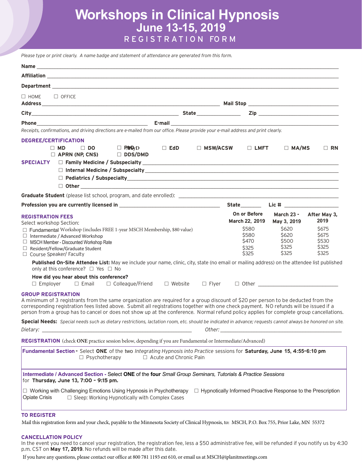# **Workshops in Clinical Hypnosis June 13-15, 2019** REGISTR A T I O N FO R M

*Please type or print clearly. A name badge and statement of attendance are generated from this form.*

| Department <b>contract and contract and contract of the contract of the contract of the contract of the contract of the contract of the contract of the contract of the contract of the contract of the contract of the contract</b>                                                                                                                                                                                                                 |              |                                                                     |                                           |                                                 |
|------------------------------------------------------------------------------------------------------------------------------------------------------------------------------------------------------------------------------------------------------------------------------------------------------------------------------------------------------------------------------------------------------------------------------------------------------|--------------|---------------------------------------------------------------------|-------------------------------------------|-------------------------------------------------|
| $\Box$ HOME<br>$\Box$ OFFICE                                                                                                                                                                                                                                                                                                                                                                                                                         |              |                                                                     |                                           |                                                 |
|                                                                                                                                                                                                                                                                                                                                                                                                                                                      |              |                                                                     |                                           |                                                 |
|                                                                                                                                                                                                                                                                                                                                                                                                                                                      |              |                                                                     |                                           |                                                 |
| Receipts, confirmations, and driving directions are e-mailed from our office. Please provide your e-mail address and print clearly.                                                                                                                                                                                                                                                                                                                  |              |                                                                     |                                           |                                                 |
| <b>DEGREE/CERTIFICATION</b><br>$\Box$ P/IP $\Box$<br>$\Box$ MD<br>$\Box$ DO<br><b>EdD</b><br>$\Box$ APRN (NP, CNS)<br>$\Box$ DDS/DMD<br>SPECIALTY D Family Medicine / Subspecialty <b>Subspecial Community Community</b> Community Community Community Community                                                                                                                                                                                     |              | □ MSW/ACSW<br>$\Box$ LMFT                                           | $\Box$ MA/MS                              | $\Box$ RN                                       |
| $\Box$ Other $\Box$                                                                                                                                                                                                                                                                                                                                                                                                                                  |              |                                                                     |                                           |                                                 |
|                                                                                                                                                                                                                                                                                                                                                                                                                                                      |              |                                                                     |                                           |                                                 |
|                                                                                                                                                                                                                                                                                                                                                                                                                                                      |              |                                                                     |                                           |                                                 |
| <b>REGISTRATION FEES</b><br>Select workshop Section:                                                                                                                                                                                                                                                                                                                                                                                                 |              | On or Before<br>March 22, 2019                                      | <b>March 23 -</b><br>May 3, 2019          | After May 3,<br>2019                            |
| $\Box$ Fundamental Workshop (includes FREE 1-year MSCH Membership, \$80 value)<br>$\Box$ Intermediate / Advanced Workshop<br>MSCH Member - Discounted Workshop Rate<br>$\Box$ Resident/Fellow/Graduate Student<br>$\Box$ Course Speaker/ Faculty                                                                                                                                                                                                     |              | \$580<br>\$580<br>\$470<br>\$325<br>\$325                           | \$620<br>\$620<br>\$500<br>\$325<br>\$325 | <b>S675</b><br>\$675<br>\$530<br>\$325<br>\$325 |
| Published On-Site Attendee List: May we include your name, clinic, city, state (no email or mailing address) on the attendee list published<br>only at this conference? □ Yes □ No                                                                                                                                                                                                                                                                   |              |                                                                     |                                           |                                                 |
| How did you hear about this conference?<br>$\square$ Email $\square$ Colleague/Friend $\square$ Website<br>$\Box$ Employer                                                                                                                                                                                                                                                                                                                           | $\Box$ Flyer |                                                                     |                                           |                                                 |
| <b>GROUP REGISTRATION</b><br>A minimum of 3 registrants from the same organization are reguired for a group discount of \$20 per person to be deducted from the<br>corresponding registration fees listed above. Submit all registrations together with one check payment. NO refunds will be issued if a<br>person from a group has to cancel or does not show up at the conference. Normal refund policy applies for complete group cancellations. |              |                                                                     |                                           |                                                 |
| Special Needs: Special needs such as dietary restrictions, lactation room, etc. should be indicated in advance; requests cannot always be honored on site.<br>Dietary: _                                                                                                                                                                                                                                                                             |              |                                                                     |                                           |                                                 |
| <b>REGISTRATION</b> (check ONE practice session below, depending if you are Fundamental or Intermediate/Advanced)                                                                                                                                                                                                                                                                                                                                    |              |                                                                     |                                           |                                                 |
| Fundamental Section - Select ONE of the two Integrating Hypnosis into Practice sessions for Saturday, June 15, 4:55-6:10 pm<br>$\Box$ Psychotherapy<br>$\Box$ Acute and Chronic Pain                                                                                                                                                                                                                                                                 |              |                                                                     |                                           |                                                 |
| Intermediate / Advanced Section - Select ONE of the four Small Group Seminars, Tutorials & Practice Sessions<br>for Thursday, June 13, 7:00 - 9:15 pm.                                                                                                                                                                                                                                                                                               |              |                                                                     |                                           |                                                 |
| □ Working with Challenging Emotions Using Hypnosis in Psychotherapy<br><b>Opiate Crisis</b><br>$\Box$ Sleep: Working Hypnotically with Complex Cases                                                                                                                                                                                                                                                                                                 |              | $\Box$ Hypnotically Informed Proactive Response to the Prescription |                                           |                                                 |
| <b>TO REGISTER</b>                                                                                                                                                                                                                                                                                                                                                                                                                                   |              |                                                                     |                                           |                                                 |

Mail this registration form and your check, payable to the Minnesota Society of Clinical Hypnosis, to: MSCH, P.O. Box 755, Prior Lake, MN 55372

#### **CANCELLATION POLICY**

In the event you need to cancel your registration, the registration fee, less a \$50 administrative fee, will be refunded if you notify us by 4:30 p.m. CST on May 17, 2019. No refunds will be made after this date.

If you have any questions, please contact our office at 800 781 1193 ext 610, or email us at MSCH@iplanitmeetings.com